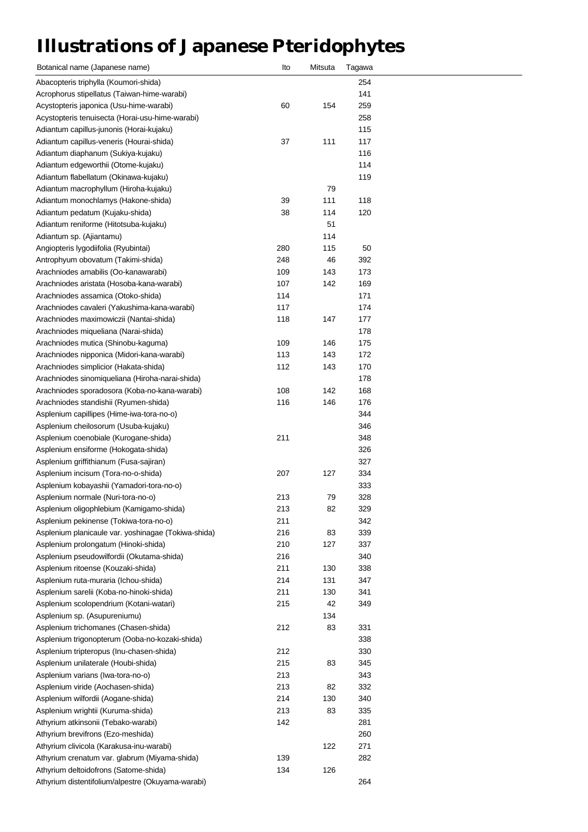## **Illustrations of Japanese Pteridophytes**

| Botanical name (Japanese name)                                             | lto        | Mitsuta | Tagawa     |  |
|----------------------------------------------------------------------------|------------|---------|------------|--|
| Abacopteris triphylla (Koumori-shida)                                      |            |         | 254        |  |
| Acrophorus stipellatus (Taiwan-hime-warabi)                                |            |         | 141        |  |
| Acystopteris japonica (Usu-hime-warabi)                                    | 60         | 154     | 259        |  |
| Acystopteris tenuisecta (Horai-usu-hime-warabi)                            |            |         | 258        |  |
| Adiantum capillus-junonis (Horai-kujaku)                                   |            |         | 115        |  |
| Adiantum capillus-veneris (Hourai-shida)                                   | 37         | 111     | 117        |  |
| Adiantum diaphanum (Sukiya-kujaku)                                         |            |         | 116        |  |
| Adiantum edgeworthii (Otome-kujaku)                                        |            |         | 114        |  |
| Adiantum flabellatum (Okinawa-kujaku)                                      |            |         | 119        |  |
| Adiantum macrophyllum (Hiroha-kujaku)                                      |            | 79      |            |  |
| Adiantum monochlamys (Hakone-shida)                                        | 39         | 111     | 118        |  |
| Adiantum pedatum (Kujaku-shida)                                            | 38         | 114     | 120        |  |
| Adiantum reniforme (Hitotsuba-kujaku)                                      |            | 51      |            |  |
| Adiantum sp. (Ajiantamu)                                                   |            | 114     |            |  |
| Angiopteris lygodiifolia (Ryubintai)                                       | 280        | 115     | 50         |  |
|                                                                            |            |         |            |  |
| Antrophyum obovatum (Takimi-shida)<br>Arachniodes amabilis (Oo-kanawarabi) | 248<br>109 | 46      | 392<br>173 |  |
|                                                                            |            | 143     |            |  |
| Arachniodes aristata (Hosoba-kana-warabi)                                  | 107        | 142     | 169        |  |
| Arachniodes assamica (Otoko-shida)                                         | 114        |         | 171        |  |
| Arachniodes cavaleri (Yakushima-kana-warabi)                               | 117        |         | 174        |  |
| Arachniodes maximowiczii (Nantai-shida)                                    | 118        | 147     | 177        |  |
| Arachniodes miqueliana (Narai-shida)                                       |            |         | 178        |  |
| Arachniodes mutica (Shinobu-kaguma)                                        | 109        | 146     | 175        |  |
| Arachniodes nipponica (Midori-kana-warabi)                                 | 113        | 143     | 172        |  |
| Arachniodes simplicior (Hakata-shida)                                      | 112        | 143     | 170        |  |
| Arachniodes sinomiqueliana (Hiroha-narai-shida)                            |            |         | 178        |  |
| Arachniodes sporadosora (Koba-no-kana-warabi)                              | 108        | 142     | 168        |  |
| Arachniodes standishii (Ryumen-shida)                                      | 116        | 146     | 176        |  |
| Asplenium capillipes (Hime-iwa-tora-no-o)                                  |            |         | 344        |  |
| Asplenium cheilosorum (Usuba-kujaku)                                       |            |         | 346        |  |
| Asplenium coenobiale (Kurogane-shida)                                      | 211        |         | 348        |  |
| Asplenium ensiforme (Hokogata-shida)                                       |            |         | 326        |  |
| Asplenium griffithianum (Fusa-sajiran)                                     |            |         | 327        |  |
| Asplenium incisum (Tora-no-o-shida)                                        | 207        | 127     | 334        |  |
| Asplenium kobayashii (Yamadori-tora-no-o)                                  |            |         | 333        |  |
| Asplenium normale (Nuri-tora-no-o)                                         | 213        | 79      | 328        |  |
| Asplenium oligophlebium (Kamigamo-shida)                                   | 213        | 82      | 329        |  |
| Asplenium pekinense (Tokiwa-tora-no-o)                                     | 211        |         | 342        |  |
| Asplenium planicaule var. yoshinagae (Tokiwa-shida)                        | 216        | 83      | 339        |  |
| Asplenium prolongatum (Hinoki-shida)                                       | 210        | 127     | 337        |  |
| Asplenium pseudowilfordii (Okutama-shida)                                  | 216        |         | 340        |  |
| Asplenium ritoense (Kouzaki-shida)                                         | 211        | 130     | 338        |  |
| Asplenium ruta-muraria (Ichou-shida)                                       | 214        | 131     | 347        |  |
| Asplenium sarelii (Koba-no-hinoki-shida)                                   | 211        | 130     | 341        |  |
| Asplenium scolopendrium (Kotani-watari)                                    | 215        | 42      | 349        |  |
| Asplenium sp. (Asupureniumu)                                               |            | 134     |            |  |
| Asplenium trichomanes (Chasen-shida)                                       | 212        | 83      | 331        |  |
| Asplenium trigonopterum (Ooba-no-kozaki-shida)                             |            |         | 338        |  |
| Asplenium tripteropus (Inu-chasen-shida)                                   | 212        |         | 330        |  |
| Asplenium unilaterale (Houbi-shida)                                        | 215        | 83      | 345        |  |
| Asplenium varians (Iwa-tora-no-o)                                          | 213        |         | 343        |  |
| Asplenium viride (Aochasen-shida)                                          | 213        | 82      | 332        |  |
| Asplenium wilfordii (Aogane-shida)                                         | 214        | 130     | 340        |  |
| Asplenium wrightii (Kuruma-shida)                                          | 213        | 83      | 335        |  |
| Athyrium atkinsonii (Tebako-warabi)                                        | 142        |         | 281        |  |
| Athyrium brevifrons (Ezo-meshida)                                          |            |         | 260        |  |
| Athyrium clivicola (Karakusa-inu-warabi)                                   |            | 122     | 271        |  |
|                                                                            |            |         |            |  |
| Athyrium crenatum var. glabrum (Miyama-shida)                              | 139        |         | 282        |  |
| Athyrium deltoidofrons (Satome-shida)                                      | 134        | 126     |            |  |
| Athyrium distentifolium/alpestre (Okuyama-warabi)                          |            |         | 264        |  |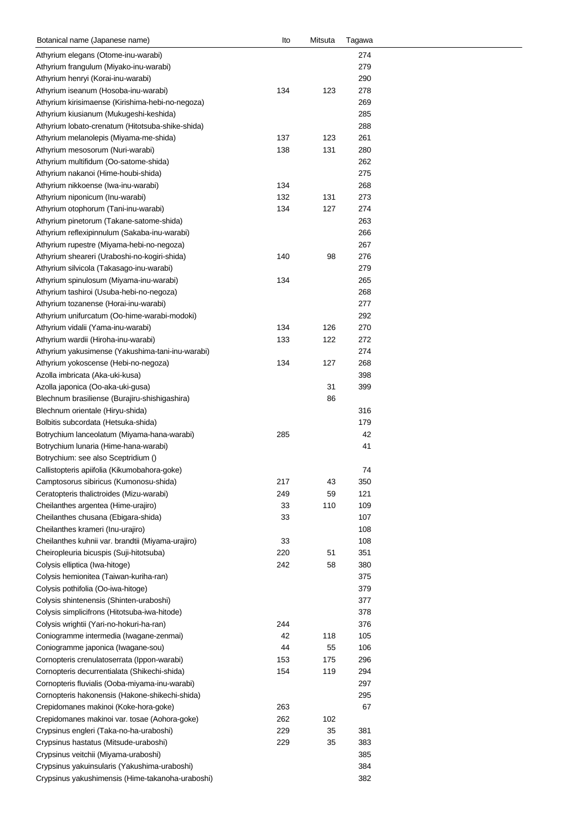| Botanical name (Japanese name)                    | Ito | Mitsuta | Tagawa |  |
|---------------------------------------------------|-----|---------|--------|--|
| Athyrium elegans (Otome-inu-warabi)               |     |         | 274    |  |
| Athyrium frangulum (Miyako-inu-warabi)            |     |         | 279    |  |
| Athyrium henryi (Korai-inu-warabi)                |     |         | 290    |  |
| Athyrium iseanum (Hosoba-inu-warabi)              | 134 | 123     | 278    |  |
| Athyrium kirisimaense (Kirishima-hebi-no-negoza)  |     |         | 269    |  |
| Athyrium kiusianum (Mukugeshi-keshida)            |     |         | 285    |  |
| Athyrium lobato-crenatum (Hitotsuba-shike-shida)  |     |         | 288    |  |
| Athyrium melanolepis (Miyama-me-shida)            | 137 | 123     | 261    |  |
| Athyrium mesosorum (Nuri-warabi)                  | 138 | 131     | 280    |  |
|                                                   |     |         | 262    |  |
| Athyrium multifidum (Oo-satome-shida)             |     |         |        |  |
| Athyrium nakanoi (Hime-houbi-shida)               |     |         | 275    |  |
| Athyrium nikkoense (Iwa-inu-warabi)               | 134 |         | 268    |  |
| Athyrium niponicum (Inu-warabi)                   | 132 | 131     | 273    |  |
| Athyrium otophorum (Tani-inu-warabi)              | 134 | 127     | 274    |  |
| Athyrium pinetorum (Takane-satome-shida)          |     |         | 263    |  |
| Athyrium reflexipinnulum (Sakaba-inu-warabi)      |     |         | 266    |  |
| Athyrium rupestre (Miyama-hebi-no-negoza)         |     |         | 267    |  |
| Athyrium sheareri (Uraboshi-no-kogiri-shida)      | 140 | 98      | 276    |  |
| Athyrium silvicola (Takasago-inu-warabi)          |     |         | 279    |  |
| Athyrium spinulosum (Miyama-inu-warabi)           | 134 |         | 265    |  |
| Athyrium tashiroi (Usuba-hebi-no-negoza)          |     |         | 268    |  |
| Athyrium tozanense (Horai-inu-warabi)             |     |         | 277    |  |
| Athyrium unifurcatum (Oo-hime-warabi-modoki)      |     |         | 292    |  |
| Athyrium vidalii (Yama-inu-warabi)                | 134 | 126     | 270    |  |
| Athyrium wardii (Hiroha-inu-warabi)               | 133 | 122     | 272    |  |
|                                                   |     |         |        |  |
| Athyrium yakusimense (Yakushima-tani-inu-warabi)  |     |         | 274    |  |
| Athyrium yokoscense (Hebi-no-negoza)              | 134 | 127     | 268    |  |
| Azolla imbricata (Aka-uki-kusa)                   |     |         | 398    |  |
| Azolla japonica (Oo-aka-uki-gusa)                 |     | 31      | 399    |  |
| Blechnum brasiliense (Burajiru-shishigashira)     |     | 86      |        |  |
| Blechnum orientale (Hiryu-shida)                  |     |         | 316    |  |
| Bolbitis subcordata (Hetsuka-shida)               |     |         | 179    |  |
| Botrychium lanceolatum (Miyama-hana-warabi)       | 285 |         | 42     |  |
| Botrychium lunaria (Hime-hana-warabi)             |     |         | 41     |  |
| Botrychium: see also Sceptridium ()               |     |         |        |  |
| Callistopteris apiifolia (Kikumobahora-goke)      |     |         | 74     |  |
| Camptosorus sibiricus (Kumonosu-shida)            | 217 | 43      | 350    |  |
| Ceratopteris thalictroides (Mizu-warabi)          | 249 | 59      | 121    |  |
| Cheilanthes argentea (Hime-urajiro)               | 33  | 110     | 109    |  |
| Cheilanthes chusana (Ebigara-shida)               | 33  |         | 107    |  |
| Cheilanthes krameri (Inu-urajiro)                 |     |         | 108    |  |
| Cheilanthes kuhnii var. brandtii (Miyama-urajiro) | 33  |         | 108    |  |
| Cheiropleuria bicuspis (Suji-hitotsuba)           | 220 | 51      | 351    |  |
|                                                   |     |         |        |  |
| Colysis elliptica (Iwa-hitoge)                    | 242 | 58      | 380    |  |
| Colysis hemionitea (Taiwan-kuriha-ran)            |     |         | 375    |  |
| Colysis pothifolia (Oo-iwa-hitoge)                |     |         | 379    |  |
| Colysis shintenensis (Shinten-uraboshi)           |     |         | 377    |  |
| Colysis simplicifrons (Hitotsuba-iwa-hitode)      |     |         | 378    |  |
| Colysis wrightii (Yari-no-hokuri-ha-ran)          | 244 |         | 376    |  |
| Coniogramme intermedia (Iwagane-zenmai)           | 42  | 118     | 105    |  |
| Coniogramme japonica (Iwagane-sou)                | 44  | 55      | 106    |  |
| Cornopteris crenulatoserrata (Ippon-warabi)       | 153 | 175     | 296    |  |
| Cornopteris decurrentialata (Shikechi-shida)      | 154 | 119     | 294    |  |
| Cornopteris fluvialis (Ooba-miyama-inu-warabi)    |     |         | 297    |  |
| Cornopteris hakonensis (Hakone-shikechi-shida)    |     |         | 295    |  |
| Crepidomanes makinoi (Koke-hora-goke)             | 263 |         | 67     |  |
| Crepidomanes makinoi var. tosae (Aohora-goke)     | 262 | 102     |        |  |
|                                                   | 229 | 35      | 381    |  |
| Crypsinus engleri (Taka-no-ha-uraboshi)           |     |         |        |  |
| Crypsinus hastatus (Mitsude-uraboshi)             | 229 | 35      | 383    |  |
| Crypsinus veitchii (Miyama-uraboshi)              |     |         | 385    |  |
| Crypsinus yakuinsularis (Yakushima-uraboshi)      |     |         | 384    |  |
| Crypsinus yakushimensis (Hime-takanoha-uraboshi)  |     |         | 382    |  |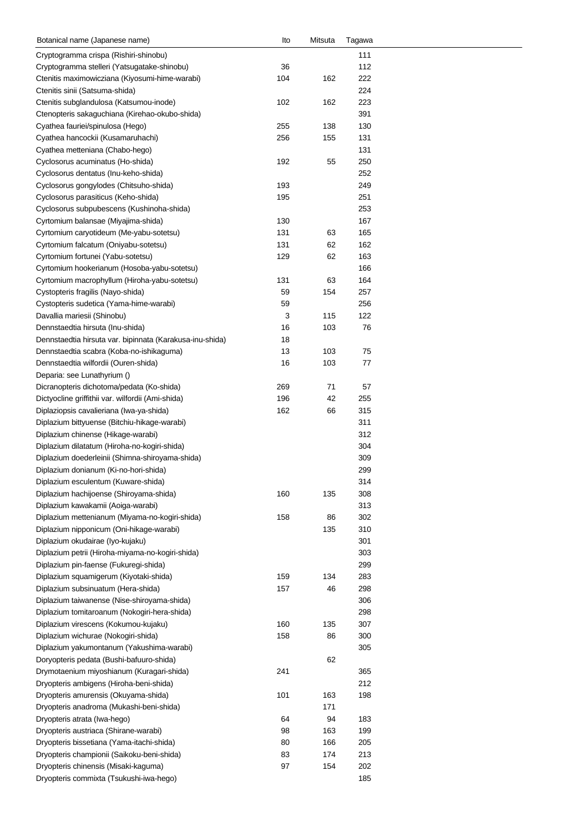| Botanical name (Japanese name)                                                           | lto | Mitsuta | Tagawa |  |
|------------------------------------------------------------------------------------------|-----|---------|--------|--|
| Cryptogramma crispa (Rishiri-shinobu)                                                    |     |         | 111    |  |
| Cryptogramma stelleri (Yatsugatake-shinobu)                                              | 36  |         | 112    |  |
| Ctenitis maximowicziana (Kiyosumi-hime-warabi)                                           | 104 | 162     | 222    |  |
| Ctenitis sinii (Satsuma-shida)                                                           |     |         | 224    |  |
| Ctenitis subglandulosa (Katsumou-inode)                                                  | 102 | 162     | 223    |  |
| Ctenopteris sakaguchiana (Kirehao-okubo-shida)                                           |     |         | 391    |  |
| Cyathea fauriei/spinulosa (Hego)                                                         | 255 | 138     | 130    |  |
| Cyathea hancockii (Kusamaruhachi)                                                        | 256 | 155     | 131    |  |
| Cyathea metteniana (Chabo-hego)                                                          |     |         | 131    |  |
| Cyclosorus acuminatus (Ho-shida)                                                         | 192 | 55      | 250    |  |
| Cyclosorus dentatus (Inu-keho-shida)                                                     |     |         | 252    |  |
| Cyclosorus gongylodes (Chitsuho-shida)                                                   | 193 |         | 249    |  |
| Cyclosorus parasiticus (Keho-shida)                                                      | 195 |         | 251    |  |
| Cyclosorus subpubescens (Kushinoha-shida)                                                |     |         | 253    |  |
| Cyrtomium balansae (Miyajima-shida)                                                      | 130 |         | 167    |  |
| Cyrtomium caryotideum (Me-yabu-sotetsu)                                                  | 131 | 63      | 165    |  |
| Cyrtomium falcatum (Oniyabu-sotetsu)                                                     | 131 | 62      | 162    |  |
| Cyrtomium fortunei (Yabu-sotetsu)                                                        | 129 | 62      | 163    |  |
| Cyrtomium hookerianum (Hosoba-yabu-sotetsu)                                              |     |         | 166    |  |
| Cyrtomium macrophyllum (Hiroha-yabu-sotetsu)                                             | 131 | 63      | 164    |  |
| Cystopteris fragilis (Nayo-shida)                                                        | 59  | 154     | 257    |  |
| Cystopteris sudetica (Yama-hime-warabi)                                                  | 59  |         | 256    |  |
| Davallia mariesii (Shinobu)                                                              | 3   | 115     | 122    |  |
| Dennstaedtia hirsuta (Inu-shida)                                                         | 16  | 103     | 76     |  |
| Dennstaedtia hirsuta var. bipinnata (Karakusa-inu-shida)                                 | 18  |         |        |  |
| Dennstaedtia scabra (Koba-no-ishikaguma)                                                 | 13  | 103     | 75     |  |
| Dennstaedtia wilfordii (Ouren-shida)                                                     | 16  | 103     | 77     |  |
| Deparia: see Lunathyrium ()                                                              |     |         |        |  |
| Dicranopteris dichotoma/pedata (Ko-shida)                                                | 269 | 71      | 57     |  |
|                                                                                          | 196 |         | 255    |  |
| Dictyocline griffithii var. wilfordii (Ami-shida)                                        | 162 | 42      | 315    |  |
| Diplaziopsis cavalieriana (Iwa-ya-shida)<br>Diplazium bittyuense (Bitchiu-hikage-warabi) |     | 66      | 311    |  |
|                                                                                          |     |         |        |  |
| Diplazium chinense (Hikage-warabi)                                                       |     |         | 312    |  |
| Diplazium dilatatum (Hiroha-no-kogiri-shida)                                             |     |         | 304    |  |
| Diplazium doederleinii (Shimna-shiroyama-shida)                                          |     |         | 309    |  |
| Diplazium donianum (Ki-no-hori-shida)                                                    |     |         | 299    |  |
| Diplazium esculentum (Kuware-shida)                                                      |     |         | 314    |  |
| Diplazium hachijoense (Shiroyama-shida)                                                  | 160 | 135     | 308    |  |
| Diplazium kawakamii (Aoiga-warabi)                                                       |     |         | 313    |  |
| Diplazium mettenianum (Miyama-no-kogiri-shida)                                           | 158 | 86      | 302    |  |
| Diplazium nipponicum (Oni-hikage-warabi)                                                 |     | 135     | 310    |  |
| Diplazium okudairae (Iyo-kujaku)                                                         |     |         | 301    |  |
| Diplazium petrii (Hiroha-miyama-no-kogiri-shida)                                         |     |         | 303    |  |
| Diplazium pin-faense (Fukuregi-shida)                                                    |     |         | 299    |  |
| Diplazium squamigerum (Kiyotaki-shida)                                                   | 159 | 134     | 283    |  |
| Diplazium subsinuatum (Hera-shida)                                                       | 157 | 46      | 298    |  |
| Diplazium taiwanense (Nise-shiroyama-shida)                                              |     |         | 306    |  |
| Diplazium tomitaroanum (Nokogiri-hera-shida)                                             |     |         | 298    |  |
| Diplazium virescens (Kokumou-kujaku)                                                     | 160 | 135     | 307    |  |
| Diplazium wichurae (Nokogiri-shida)                                                      | 158 | 86      | 300    |  |
| Diplazium yakumontanum (Yakushima-warabi)                                                |     |         | 305    |  |
| Doryopteris pedata (Bushi-bafuuro-shida)                                                 |     | 62      |        |  |
| Drymotaenium miyoshianum (Kuragari-shida)                                                | 241 |         | 365    |  |
| Dryopteris ambigens (Hiroha-beni-shida)                                                  |     |         | 212    |  |
| Dryopteris amurensis (Okuyama-shida)                                                     | 101 | 163     | 198    |  |
| Dryopteris anadroma (Mukashi-beni-shida)                                                 |     | 171     |        |  |
| Dryopteris atrata (Iwa-hego)                                                             | 64  | 94      | 183    |  |
| Dryopteris austriaca (Shirane-warabi)                                                    | 98  | 163     | 199    |  |
| Dryopteris bissetiana (Yama-itachi-shida)                                                | 80  | 166     | 205    |  |
| Dryopteris championii (Saikoku-beni-shida)                                               | 83  | 174     | 213    |  |
| Dryopteris chinensis (Misaki-kaguma)                                                     | 97  | 154     | 202    |  |
| Dryopteris commixta (Tsukushi-iwa-hego)                                                  |     |         | 185    |  |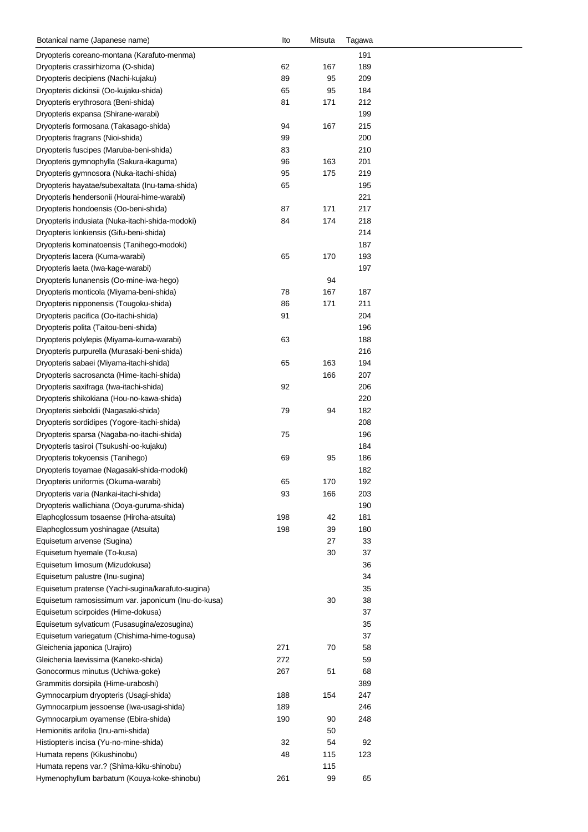| Botanical name (Japanese name)                      | lto | Mitsuta | Tagawa |  |
|-----------------------------------------------------|-----|---------|--------|--|
| Dryopteris coreano-montana (Karafuto-menma)         |     |         | 191    |  |
| Dryopteris crassirhizoma (O-shida)                  | 62  | 167     | 189    |  |
| Dryopteris decipiens (Nachi-kujaku)                 | 89  | 95      | 209    |  |
| Dryopteris dickinsii (Oo-kujaku-shida)              | 65  | 95      | 184    |  |
| Dryopteris erythrosora (Beni-shida)                 | 81  | 171     | 212    |  |
| Dryopteris expansa (Shirane-warabi)                 |     |         | 199    |  |
|                                                     |     |         |        |  |
| Dryopteris formosana (Takasago-shida)               | 94  | 167     | 215    |  |
| Dryopteris fragrans (Nioi-shida)                    | 99  |         | 200    |  |
| Dryopteris fuscipes (Maruba-beni-shida)             | 83  |         | 210    |  |
| Dryopteris gymnophylla (Sakura-ikaguma)             | 96  | 163     | 201    |  |
| Dryopteris gymnosora (Nuka-itachi-shida)            | 95  | 175     | 219    |  |
| Dryopteris hayatae/subexaltata (Inu-tama-shida)     | 65  |         | 195    |  |
| Dryopteris hendersonii (Hourai-hime-warabi)         |     |         | 221    |  |
| Dryopteris hondoensis (Oo-beni-shida)               | 87  | 171     | 217    |  |
| Dryopteris indusiata (Nuka-itachi-shida-modoki)     | 84  | 174     | 218    |  |
| Dryopteris kinkiensis (Gifu-beni-shida)             |     |         | 214    |  |
| Dryopteris kominatoensis (Tanihego-modoki)          |     |         | 187    |  |
| Dryopteris lacera (Kuma-warabi)                     | 65  | 170     | 193    |  |
| Dryopteris laeta (Iwa-kage-warabi)                  |     |         | 197    |  |
|                                                     |     |         |        |  |
| Dryopteris lunanensis (Oo-mine-iwa-hego)            |     | 94      |        |  |
| Dryopteris monticola (Miyama-beni-shida)            | 78  | 167     | 187    |  |
| Dryopteris nipponensis (Tougoku-shida)              | 86  | 171     | 211    |  |
| Dryopteris pacifica (Oo-itachi-shida)               | 91  |         | 204    |  |
| Dryopteris polita (Taitou-beni-shida)               |     |         | 196    |  |
| Dryopteris polylepis (Miyama-kuma-warabi)           | 63  |         | 188    |  |
| Dryopteris purpurella (Murasaki-beni-shida)         |     |         | 216    |  |
| Dryopteris sabaei (Miyama-itachi-shida)             | 65  | 163     | 194    |  |
| Dryopteris sacrosancta (Hime-itachi-shida)          |     | 166     | 207    |  |
| Dryopteris saxifraga (Iwa-itachi-shida)             | 92  |         | 206    |  |
| Dryopteris shikokiana (Hou-no-kawa-shida)           |     |         | 220    |  |
| Dryopteris sieboldii (Nagasaki-shida)               | 79  | 94      | 182    |  |
| Dryopteris sordidipes (Yogore-itachi-shida)         |     |         | 208    |  |
|                                                     |     |         |        |  |
| Dryopteris sparsa (Nagaba-no-itachi-shida)          | 75  |         | 196    |  |
| Dryopteris tasiroi (Tsukushi-oo-kujaku)             |     |         | 184    |  |
| Dryopteris tokyoensis (Tanihego)                    | 69  | 95      | 186    |  |
| Dryopteris toyamae (Nagasaki-shida-modoki)          |     |         | 182    |  |
| Dryopteris uniformis (Okuma-warabi)                 | 65  | 170     | 192    |  |
| Dryopteris varia (Nankai-itachi-shida)              | 93  | 166     | 203    |  |
| Dryopteris wallichiana (Ooya-guruma-shida)          |     |         | 190    |  |
| Elaphoglossum tosaense (Hiroha-atsuita)             | 198 | 42      | 181    |  |
| Elaphoglossum yoshinagae (Atsuita)                  | 198 | 39      | 180    |  |
| Equisetum arvense (Sugina)                          |     | 27      | 33     |  |
| Equisetum hyemale (To-kusa)                         |     | 30      | 37     |  |
| Equisetum limosum (Mizudokusa)                      |     |         | 36     |  |
| Equisetum palustre (Inu-sugina)                     |     |         | 34     |  |
|                                                     |     |         |        |  |
| Equisetum pratense (Yachi-sugina/karafuto-sugina)   |     |         | 35     |  |
| Equisetum ramosissimum var. japonicum (Inu-do-kusa) |     | 30      | 38     |  |
| Equisetum scirpoides (Hime-dokusa)                  |     |         | 37     |  |
| Equisetum sylvaticum (Fusasugina/ezosugina)         |     |         | 35     |  |
| Equisetum variegatum (Chishima-hime-togusa)         |     |         | 37     |  |
| Gleichenia japonica (Urajiro)                       | 271 | 70      | 58     |  |
| Gleichenia laevissima (Kaneko-shida)                | 272 |         | 59     |  |
| Gonocormus minutus (Uchiwa-goke)                    | 267 | 51      | 68     |  |
| Grammitis dorsipila (Hime-uraboshi)                 |     |         | 389    |  |
| Gymnocarpium dryopteris (Usagi-shida)               | 188 | 154     | 247    |  |
| Gymnocarpium jessoense (Iwa-usagi-shida)            | 189 |         | 246    |  |
|                                                     | 190 | 90      |        |  |
| Gymnocarpium oyamense (Ebira-shida)                 |     |         | 248    |  |
| Hemionitis arifolia (Inu-ami-shida)                 |     | 50      |        |  |
| Histiopteris incisa (Yu-no-mine-shida)              | 32  | 54      | 92     |  |
| Humata repens (Kikushinobu)                         | 48  | 115     | 123    |  |
| Humata repens var.? (Shima-kiku-shinobu)            |     | 115     |        |  |
| Hymenophyllum barbatum (Kouya-koke-shinobu)         | 261 | 99      | 65     |  |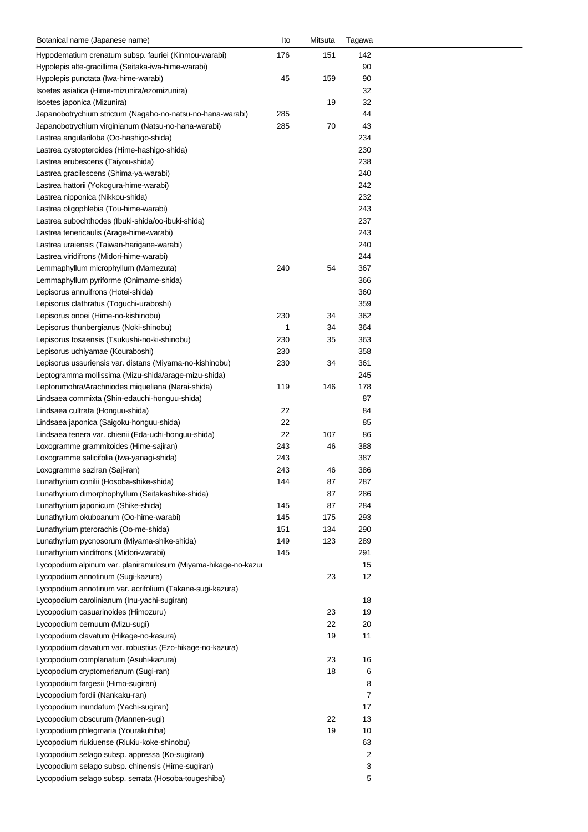| Botanical name (Japanese name)                                 | Ito | Mitsuta | Tagawa |
|----------------------------------------------------------------|-----|---------|--------|
| Hypodematium crenatum subsp. fauriei (Kinmou-warabi)           | 176 | 151     | 142    |
| Hypolepis alte-gracillima (Seitaka-iwa-hime-warabi)            |     |         | 90     |
| Hypolepis punctata (Iwa-hime-warabi)                           | 45  | 159     | 90     |
| Isoetes asiatica (Hime-mizunira/ezomizunira)                   |     |         | 32     |
| Isoetes japonica (Mizunira)                                    |     | 19      | 32     |
| Japanobotrychium strictum (Nagaho-no-natsu-no-hana-warabi)     | 285 |         | 44     |
| Japanobotrychium virginianum (Natsu-no-hana-warabi)            | 285 | 70      | 43     |
| Lastrea angulariloba (Oo-hashigo-shida)                        |     |         | 234    |
| Lastrea cystopteroides (Hime-hashigo-shida)                    |     |         | 230    |
| Lastrea erubescens (Taiyou-shida)                              |     |         | 238    |
| Lastrea gracilescens (Shima-ya-warabi)                         |     |         | 240    |
| Lastrea hattorii (Yokogura-hime-warabi)                        |     |         | 242    |
| Lastrea nipponica (Nikkou-shida)                               |     |         | 232    |
| Lastrea oligophlebia (Tou-hime-warabi)                         |     |         | 243    |
| Lastrea subochthodes (Ibuki-shida/oo-ibuki-shida)              |     |         | 237    |
| Lastrea tenericaulis (Arage-hime-warabi)                       |     |         | 243    |
| Lastrea uraiensis (Taiwan-harigane-warabi)                     |     |         | 240    |
| Lastrea viridifrons (Midori-hime-warabi)                       |     |         | 244    |
| Lemmaphyllum microphyllum (Mamezuta)                           | 240 | 54      | 367    |
| Lemmaphyllum pyriforme (Onimame-shida)                         |     |         | 366    |
| Lepisorus annuifrons (Hotei-shida)                             |     |         | 360    |
| Lepisorus clathratus (Toguchi-uraboshi)                        |     |         | 359    |
| Lepisorus onoei (Hime-no-kishinobu)                            | 230 | 34      | 362    |
| Lepisorus thunbergianus (Noki-shinobu)                         | 1   | 34      | 364    |
| Lepisorus tosaensis (Tsukushi-no-ki-shinobu)                   | 230 | 35      | 363    |
| Lepisorus uchiyamae (Kouraboshi)                               | 230 |         | 358    |
| Lepisorus ussuriensis var. distans (Miyama-no-kishinobu)       | 230 | 34      | 361    |
| Leptogramma mollissima (Mizu-shida/arage-mizu-shida)           |     |         | 245    |
| Leptorumohra/Arachniodes miqueliana (Narai-shida)              | 119 | 146     | 178    |
| Lindsaea commixta (Shin-edauchi-honguu-shida)                  |     |         | 87     |
| Lindsaea cultrata (Honguu-shida)                               | 22  |         | 84     |
| Lindsaea japonica (Saigoku-honguu-shida)                       | 22  |         | 85     |
| Lindsaea tenera var. chienii (Eda-uchi-honguu-shida)           | 22  | 107     | 86     |
| Loxogramme grammitoides (Hime-sajiran)                         | 243 | 46      | 388    |
| Loxogramme salicifolia (Iwa-yanagi-shida)                      | 243 |         | 387    |
| Loxogramme saziran (Saji-ran)                                  | 243 | 46      | 386    |
| Lunathyrium conilii (Hosoba-shike-shida)                       | 144 | 87      | 287    |
| Lunathyrium dimorphophyllum (Seitakashike-shida)               |     | 87      | 286    |
| Lunathyrium japonicum (Shike-shida)                            | 145 | 87      | 284    |
| Lunathyrium okuboanum (Oo-hime-warabi)                         | 145 | 175     | 293    |
| Lunathyrium pterorachis (Oo-me-shida)                          | 151 | 134     | 290    |
| Lunathyrium pycnosorum (Miyama-shike-shida)                    | 149 | 123     | 289    |
| Lunathyrium viridifrons (Midori-warabi)                        | 145 |         | 291    |
| Lycopodium alpinum var. planiramulosum (Miyama-hikage-no-kazur |     |         | 15     |
| Lycopodium annotinum (Sugi-kazura)                             |     | 23      | 12     |
| Lycopodium annotinum var. acrifolium (Takane-sugi-kazura)      |     |         |        |
| Lycopodium carolinianum (Inu-yachi-sugiran)                    |     |         | 18     |
| Lycopodium casuarinoides (Himozuru)                            |     | 23      | 19     |
| Lycopodium cernuum (Mizu-sugi)                                 |     | 22      | 20     |
| Lycopodium clavatum (Hikage-no-kasura)                         |     | 19      | 11     |
| Lycopodium clavatum var. robustius (Ezo-hikage-no-kazura)      |     |         |        |
| Lycopodium complanatum (Asuhi-kazura)                          |     | 23      | 16     |
| Lycopodium cryptomerianum (Sugi-ran)                           |     | 18      | 6      |
| Lycopodium fargesii (Himo-sugiran)                             |     |         | 8      |
| Lycopodium fordii (Nankaku-ran)                                |     |         | 7      |
| Lycopodium inundatum (Yachi-sugiran)                           |     |         | 17     |
| Lycopodium obscurum (Mannen-sugi)                              |     | 22      | 13     |
| Lycopodium phlegmaria (Yourakuhiba)                            |     | 19      | 10     |
| Lycopodium riukiuense (Riukiu-koke-shinobu)                    |     |         | 63     |
| Lycopodium selago subsp. appressa (Ko-sugiran)                 |     |         | 2      |
| Lycopodium selago subsp. chinensis (Hime-sugiran)              |     |         | 3      |
| Lycopodium selago subsp. serrata (Hosoba-tougeshiba)           |     |         | 5      |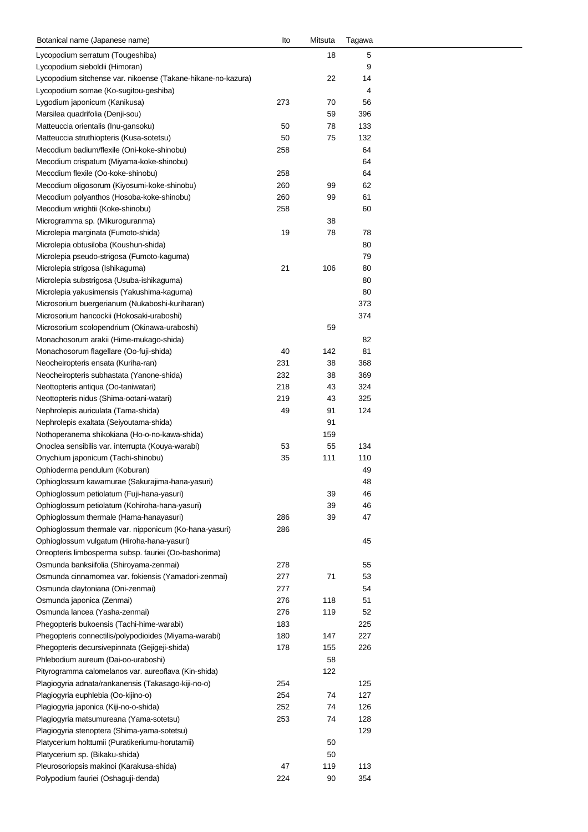| Botanical name (Japanese name)                               | Ito | Mitsuta | Tagawa |
|--------------------------------------------------------------|-----|---------|--------|
| Lycopodium serratum (Tougeshiba)                             |     | 18      | 5      |
| Lycopodium sieboldii (Himoran)                               |     |         | 9      |
| Lycopodium sitchense var. nikoense (Takane-hikane-no-kazura) |     | 22      | 14     |
| Lycopodium somae (Ko-sugitou-geshiba)                        |     |         | 4      |
| Lygodium japonicum (Kanikusa)                                | 273 | 70      | 56     |
| Marsilea quadrifolia (Denji-sou)                             |     | 59      | 396    |
| Matteuccia orientalis (Inu-gansoku)                          | 50  | 78      | 133    |
| Matteuccia struthiopteris (Kusa-sotetsu)                     | 50  | 75      | 132    |
| Mecodium badium/flexile (Oni-koke-shinobu)                   | 258 |         | 64     |
| Mecodium crispatum (Miyama-koke-shinobu)                     |     |         | 64     |
| Mecodium flexile (Oo-koke-shinobu)                           | 258 |         | 64     |
| Mecodium oligosorum (Kiyosumi-koke-shinobu)                  | 260 | 99      | 62     |
| Mecodium polyanthos (Hosoba-koke-shinobu)                    | 260 | 99      | 61     |
| Mecodium wrightii (Koke-shinobu)                             | 258 |         | 60     |
| Microgramma sp. (Mikuroguranma)                              |     | 38      |        |
| Microlepia marginata (Fumoto-shida)                          | 19  | 78      | 78     |
| Microlepia obtusiloba (Koushun-shida)                        |     |         | 80     |
| Microlepia pseudo-strigosa (Fumoto-kaguma)                   |     |         | 79     |
| Microlepia strigosa (Ishikaguma)                             | 21  | 106     | 80     |
| Microlepia substrigosa (Usuba-ishikaguma)                    |     |         | 80     |
| Microlepia yakusimensis (Yakushima-kaguma)                   |     |         | 80     |
| Microsorium buergerianum (Nukaboshi-kuriharan)               |     |         | 373    |
| Microsorium hancockii (Hokosaki-uraboshi)                    |     |         | 374    |
| Microsorium scolopendrium (Okinawa-uraboshi)                 |     | 59      |        |
| Monachosorum arakii (Hime-mukago-shida)                      |     |         | 82     |
| Monachosorum flagellare (Oo-fuji-shida)                      | 40  | 142     | 81     |
| Neocheiropteris ensata (Kuriha-ran)                          | 231 | 38      | 368    |
| Neocheiropteris subhastata (Yanone-shida)                    | 232 | 38      | 369    |
| Neottopteris antiqua (Oo-taniwatari)                         | 218 | 43      | 324    |
| Neottopteris nidus (Shima-ootani-watari)                     | 219 | 43      | 325    |
| Nephrolepis auriculata (Tama-shida)                          | 49  | 91      | 124    |
| Nephrolepis exaltata (Seiyoutama-shida)                      |     | 91      |        |
| Nothoperanema shikokiana (Ho-o-no-kawa-shida)                |     | 159     |        |
| Onoclea sensibilis var. interrupta (Kouya-warabi)            | 53  | 55      | 134    |
| Onychium japonicum (Tachi-shinobu)                           | 35  | 111     | 110    |
| Ophioderma pendulum (Koburan)                                |     |         | 49     |
| Ophioglossum kawamurae (Sakurajima-hana-yasuri)              |     |         | 48     |
| Ophioglossum petiolatum (Fuji-hana-yasuri)                   |     | 39      | 46     |
| Ophioglossum petiolatum (Kohiroha-hana-yasuri)               |     | 39      | 46     |
| Ophioglossum thermale (Hama-hanayasuri)                      | 286 | 39      | 47     |
| Ophioglossum thermale var. nipponicum (Ko-hana-yasuri)       | 286 |         |        |
| Ophioglossum vulgatum (Hiroha-hana-yasuri)                   |     |         | 45     |
| Oreopteris limbosperma subsp. fauriei (Oo-bashorima)         |     |         |        |
| Osmunda banksiifolia (Shiroyama-zenmai)                      | 278 |         | 55     |
| Osmunda cinnamomea var. fokiensis (Yamadori-zenmai)          | 277 | 71      | 53     |
| Osmunda claytoniana (Oni-zenmai)                             | 277 |         | 54     |
| Osmunda japonica (Zenmai)                                    | 276 | 118     | 51     |
| Osmunda lancea (Yasha-zenmai)                                | 276 | 119     | 52     |
| Phegopteris bukoensis (Tachi-hime-warabi)                    | 183 |         | 225    |
| Phegopteris connectilis/polypodioides (Miyama-warabi)        | 180 | 147     | 227    |
| Phegopteris decursivepinnata (Gejigeji-shida)                | 178 | 155     | 226    |
| Phlebodium aureum (Dai-oo-uraboshi)                          |     | 58      |        |
| Pityrogramma calomelanos var. aureoflava (Kin-shida)         |     | 122     |        |
| Plagiogyria adnata/rankanensis (Takasago-kiji-no-o)          | 254 |         | 125    |
| Plagiogyria euphlebia (Oo-kijino-o)                          | 254 | 74      | 127    |
| Plagiogyria japonica (Kiji-no-o-shida)                       | 252 | 74      | 126    |
| Plagiogyria matsumureana (Yama-sotetsu)                      | 253 | 74      | 128    |
| Plagiogyria stenoptera (Shima-yama-sotetsu)                  |     |         | 129    |
| Platycerium holttumii (Puratikeriumu-horutamii)              |     | 50      |        |
| Platycerium sp. (Bikaku-shida)                               |     | 50      |        |
| Pleurosoriopsis makinoi (Karakusa-shida)                     | 47  | 119     | 113    |
| Polypodium fauriei (Oshaguji-denda)                          | 224 | 90      | 354    |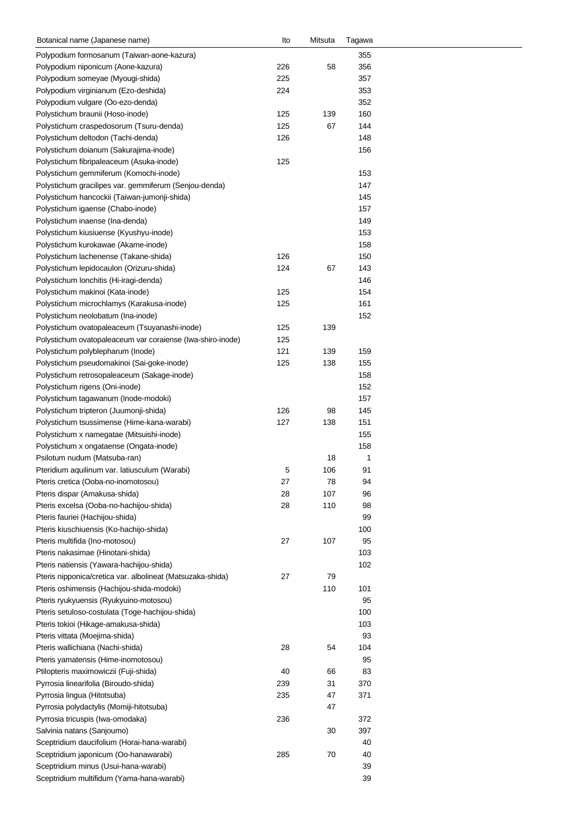| Botanical name (Japanese name)                             | lto | Mitsuta | Tagawa |  |
|------------------------------------------------------------|-----|---------|--------|--|
| Polypodium formosanum (Taiwan-aone-kazura)                 |     |         | 355    |  |
| Polypodium niponicum (Aone-kazura)                         | 226 | 58      | 356    |  |
| Polypodium someyae (Myougi-shida)                          | 225 |         | 357    |  |
| Polypodium virginianum (Ezo-deshida)                       | 224 |         | 353    |  |
| Polypodium vulgare (Oo-ezo-denda)                          |     |         | 352    |  |
| Polystichum braunii (Hoso-inode)                           | 125 | 139     | 160    |  |
| Polystichum craspedosorum (Tsuru-denda)                    | 125 | 67      | 144    |  |
| Polystichum deltodon (Tachi-denda)                         | 126 |         | 148    |  |
| Polystichum doianum (Sakurajima-inode)                     |     |         | 156    |  |
| Polystichum fibripaleaceum (Asuka-inode)                   | 125 |         |        |  |
| Polystichum gemmiferum (Komochi-inode)                     |     |         | 153    |  |
| Polystichum gracilipes var. gemmiferum (Senjou-denda)      |     |         | 147    |  |
| Polystichum hancockii (Taiwan-jumonji-shida)               |     |         | 145    |  |
| Polystichum igaense (Chabo-inode)                          |     |         | 157    |  |
| Polystichum inaense (Ina-denda)                            |     |         | 149    |  |
| Polystichum kiusiuense (Kyushyu-inode)                     |     |         | 153    |  |
| Polystichum kurokawae (Akame-inode)                        |     |         | 158    |  |
| Polystichum lachenense (Takane-shida)                      | 126 |         | 150    |  |
| Polystichum lepidocaulon (Orizuru-shida)                   | 124 | 67      | 143    |  |
|                                                            |     |         |        |  |
| Polystichum lonchitis (Hi-iragi-denda)                     |     |         | 146    |  |
| Polystichum makinoi (Kata-inode)                           | 125 |         | 154    |  |
| Polystichum microchlamys (Karakusa-inode)                  | 125 |         | 161    |  |
| Polystichum neolobatum (Ina-inode)                         |     |         | 152    |  |
| Polystichum ovatopaleaceum (Tsuyanashi-inode)              | 125 | 139     |        |  |
| Polystichum ovatopaleaceum var coraiense (Iwa-shiro-inode) | 125 |         |        |  |
| Polystichum polyblepharum (Inode)                          | 121 | 139     | 159    |  |
| Polystichum pseudomakinoi (Sai-goke-inode)                 | 125 | 138     | 155    |  |
| Polystichum retrosopaleaceum (Sakage-inode)                |     |         | 158    |  |
| Polystichum rigens (Oni-inode)                             |     |         | 152    |  |
| Polystichum tagawanum (Inode-modoki)                       |     |         | 157    |  |
| Polystichum tripteron (Juumonji-shida)                     | 126 | 98      | 145    |  |
| Polystichum tsussimense (Hime-kana-warabi)                 | 127 | 138     | 151    |  |
| Polystichum x namegatae (Mitsuishi-inode)                  |     |         | 155    |  |
| Polystichum x ongataense (Ongata-inode)                    |     |         | 158    |  |
| Psilotum nudum (Matsuba-ran)                               |     | 18      | 1      |  |
| Pteridium aquilinum var. latiusculum (Warabi)              | 5   | 106     | 91     |  |
| Pteris cretica (Ooba-no-inomotosou)                        | 27  | 78      | 94     |  |
| Pteris dispar (Amakusa-shida)                              | 28  | 107     | 96     |  |
| Pteris excelsa (Ooba-no-hachijou-shida)                    | 28  | 110     | 98     |  |
| Pteris fauriei (Hachijou-shida)                            |     |         | 99     |  |
| Pteris kiuschiuensis (Ko-hachijo-shida)                    |     |         | 100    |  |
| Pteris multifida (Ino-motosou)                             | 27  | 107     | 95     |  |
| Pteris nakasimae (Hinotani-shida)                          |     |         | 103    |  |
| Pteris natiensis (Yawara-hachijou-shida)                   |     |         | 102    |  |
| Pteris nipponica/cretica var. albolineat (Matsuzaka-shida) | 27  | 79      |        |  |
| Pteris oshimensis (Hachijou-shida-modoki)                  |     | 110     | 101    |  |
| Pteris ryukyuensis (Ryukyuino-motosou)                     |     |         | 95     |  |
| Pteris setuloso-costulata (Toge-hachijou-shida)            |     |         | 100    |  |
| Pteris tokioi (Hikage-amakusa-shida)                       |     |         | 103    |  |
| Pteris vittata (Moejima-shida)                             |     |         | 93     |  |
|                                                            | 28  | 54      | 104    |  |
| Pteris wallichiana (Nachi-shida)                           |     |         |        |  |
| Pteris yamatensis (Hime-inomotosou)                        |     |         | 95     |  |
| Ptilopteris maximowiczii (Fuji-shida)                      | 40  | 66      | 83     |  |
| Pyrrosia linearifolia (Biroudo-shida)                      | 239 | 31      | 370    |  |
| Pyrrosia lingua (Hitotsuba)                                | 235 | 47      | 371    |  |
| Pyrrosia polydactylis (Momiji-hitotsuba)                   |     | 47      |        |  |
| Pyrrosia tricuspis (Iwa-omodaka)                           | 236 |         | 372    |  |
| Salvinia natans (Sanjoumo)                                 |     | 30      | 397    |  |
| Sceptridium daucifolium (Horai-hana-warabi)                |     |         | 40     |  |
| Sceptridium japonicum (Oo-hanawarabi)                      | 285 | 70      | 40     |  |
| Sceptridium minus (Usui-hana-warabi)                       |     |         | 39     |  |
| Sceptridium multifidum (Yama-hana-warabi)                  |     |         | 39     |  |